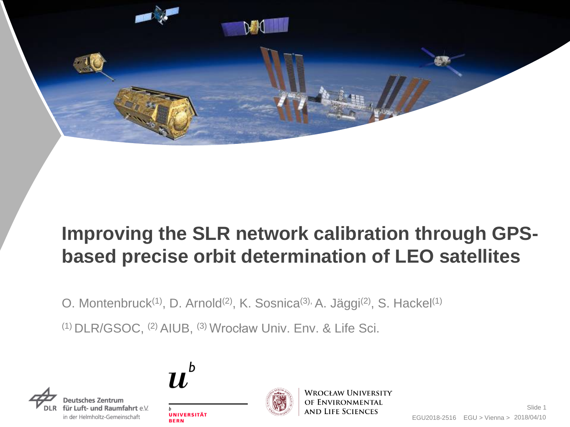

## **Improving the SLR network calibration through GPSbased precise orbit determination of LEO satellites**

O. Montenbruck<sup>(1)</sup>, D. Arnold<sup>(2)</sup>, K. Sosnica<sup>(3),</sup> A. Jäggi<sup>(2)</sup>, S. Hackel<sup>(1)</sup>

(1) DLR/GSOC, (2) AIUB, (3) Wrocław Univ. Env. & Life Sci.





**BERN** 



**WROCŁAW UNIVERSITY** OF ENVIRONMENTAL **AND LIFE SCIENCES**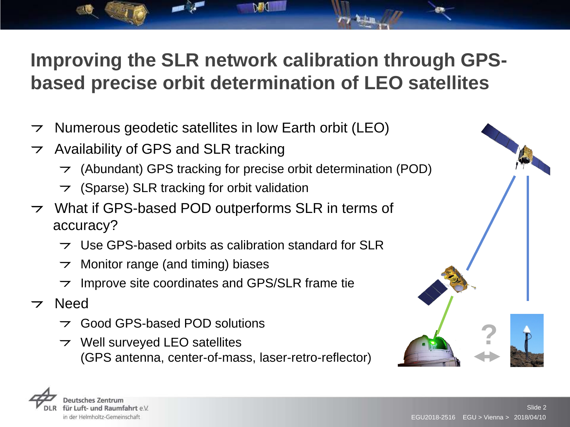# **Improving the SLR network calibration through GPSbased precise orbit determination of LEO satellites**

- Numerous geodetic satellites in low Earth orbit (LEO)  $\overline{z}$
- $\rightarrow$  Availability of GPS and SLR tracking
	- $\rightarrow$  (Abundant) GPS tracking for precise orbit determination (POD)
	- $\rightarrow$  (Sparse) SLR tracking for orbit validation
- $\triangleright$  What if GPS-based POD outperforms SLR in terms of accuracy?
	- $\rightarrow$  Use GPS-based orbits as calibration standard for SLR
	- Monitor range (and timing) biases
	- Improve site coordinates and GPS/SLR frame tie  $\overline{\phantom{a}}$
- $\rightarrow$  Need
	- $\rightarrow$  Good GPS-based POD solutions
	- $\triangleright$  Well surveyed LEO satellites (GPS antenna, center-of-mass, laser-retro-reflector)



**?**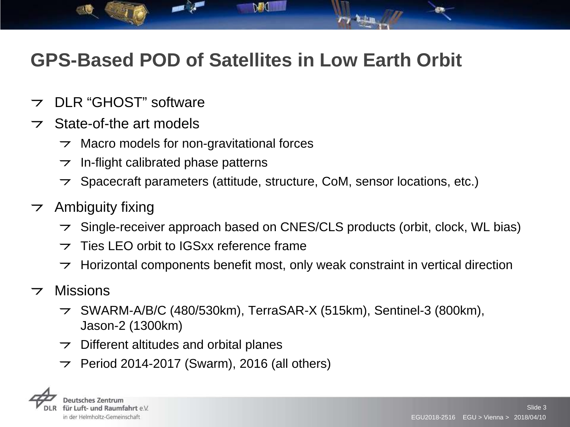## **GPS-Based POD of Satellites in Low Earth Orbit**

አል በ

- DLR "GHOST" software  $\overline{\phantom{0}}$
- $\triangleright$  State-of-the art models
	- $\rightarrow$  Macro models for non-gravitational forces
	- In-flight calibrated phase patterns  $\overline{z}$
	- $\triangleright$  Spacecraft parameters (attitude, structure, CoM, sensor locations, etc.)
- $\rightarrow$  Ambiguity fixing
	- $\rightarrow$  Single-receiver approach based on CNES/CLS products (orbit, clock, WL bias)
	- $\overline{z}$  Ties LEO orbit to IGSxx reference frame
	- Horizontal components benefit most, only weak constraint in vertical direction  $\overline{z}$
- **Missions**  $\overline{\phantom{0}}$ 
	- $\rightarrow$  SWARM-A/B/C (480/530km), TerraSAR-X (515km), Sentinel-3 (800km), Jason-2 (1300km)
	- $\rightarrow$  Different altitudes and orbital planes
	- Period 2014-2017 (Swarm), 2016 (all others)  $\overline{z}$

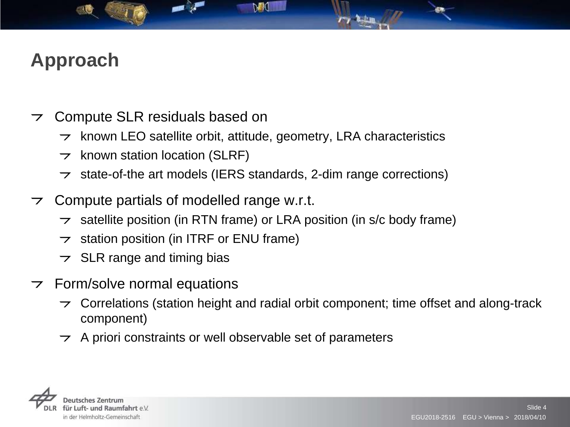# **Approach**

- Compute SLR residuals based on  $\overline{\phantom{a}}$ 
	- known LEO satellite orbit, attitude, geometry, LRA characteristics  $\overline{\phantom{a}}$
	- $\rightarrow$  known station location (SLRF)
	- state-of-the art models (IERS standards, 2-dim range corrections)  $\overline{z}$
- $\triangleright$  Compute partials of modelled range w.r.t.
	- satellite position (in RTN frame) or LRA position (in s/c body frame)  $\overline{\phantom{a}}$
	- station position (in ITRF or ENU frame)  $\overline{z}$
	- $\overline{z}$  SLR range and timing bias
- $\tau$  Form/solve normal equations
	- Correlations (station height and radial orbit component; time offset and along-track  $\overline{\phantom{a}}$ component)
	- $\rightarrow$  A priori constraints or well observable set of parameters

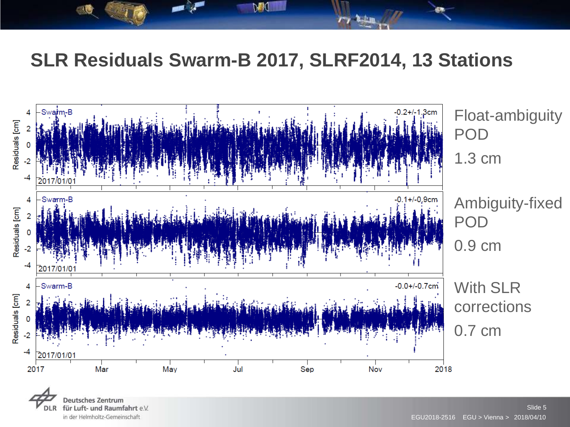#### **SLR Residuals Swarm-B 2017, SLRF2014, 13 Stations**



**Deutsches Zentrum** für Luft- und Raumfahrt e.V. **DLR** in der Helmholtz-Gemeinschaft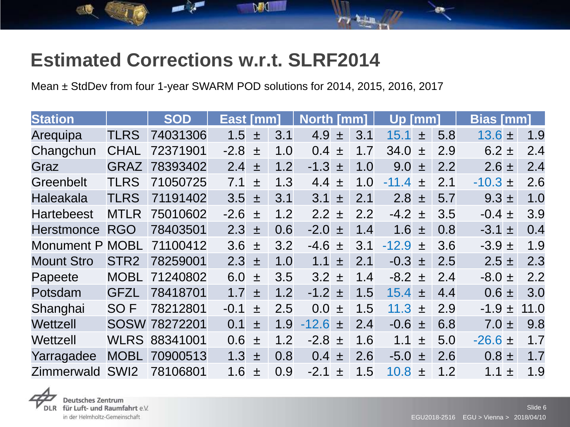### **Estimated Corrections w.r.t. SLRF2014**

Mean ± StdDev from four 1-year SWARM POD solutions for 2014, 2015, 2016, 2017

| <b>Station</b>    |                  | <b>SOD</b>           | East [mm]  |   | <b>North [mm]</b> |                           | Up [mm] |             |       | <b>Bias [mm]</b> |               |      |
|-------------------|------------------|----------------------|------------|---|-------------------|---------------------------|---------|-------------|-------|------------------|---------------|------|
| Arequipa          | <b>TLRS</b>      | 74031306             | 1.5        | 土 | 3.1               | 4.9<br>王                  | 3.1     | 15.1        | 士     | 5.8              | $13.6 \pm$    | 1.9  |
| Changchun         | <b>CHAL</b>      | 72371901             | $-2.8 \pm$ |   | 1.0               | 0.4<br>土                  | 1.7     | 34.0        | 土     | 2.9              | $6.2 \pm$     | 2.4  |
| Graz              | <b>GRAZ</b>      | 78393402             | 2.4        | 士 | 1.2               | $-1.3 \pm$                | 1.0     | $9.0 \pm$   |       | 2.2              | $2.6 \pm$     | 2.4  |
| Greenbelt         | <b>TLRS</b>      | 71050725             | 7.1        | 士 | 1.3               | 4.4 $\pm$                 | 1.0     | $-11.4 \pm$ |       | 2.1              | $-10.3 \pm 1$ | 2.6  |
| <b>Haleakala</b>  | <b>TLRS</b>      | 71191402             | $3.5 \pm$  |   | 3.1               | 3.1<br>士                  | 2.1     | 2.8         | 土     | 5.7              | $9.3 \pm$     | 1.0  |
| <b>Hartebeest</b> | <b>MTLR</b>      | 75010602             | $-2.6 \pm$ |   | 1.2               | 2.2<br>土                  | 2.2     | $-4.2$      | $\pm$ | 3.5              | $-0.4 \pm$    | 3.9  |
| <b>Herstmonce</b> | <b>RGO</b>       | 78403501             | $2.3 \pm$  |   | 0.6               | $-2.0 \pm$                | 1.4     | 1.6         | 土     | 0.8              | $-3.1 \pm$    | 0.4  |
| Monument P        | <b>MOBL</b>      | 71100412             | $3.6 \pm$  |   | 3.2               | $-4.6 \pm$                | 3.1     | $-12.9 \pm$ |       | 3.6              | $-3.9 \pm$    | 1.9  |
| <b>Mount Stro</b> | STR <sub>2</sub> | 78259001             | $2.3 \pm$  |   | 1.0               | 1.1<br>士                  | 2.1     | $-0.3 \pm$  |       | 2.5              | $2.5 \pm$     | 2.3  |
| Papeete           | <b>MOBL</b>      | 71240802             | 6.0        | 土 | 3.5               | $3.2 \pm$                 | 1.4     | $-8.2 \pm$  |       | 2.4              | $-8.0 \pm$    | 2.2  |
| Potsdam           | <b>GFZL</b>      | 78418701             | 1.7        | 士 | 1.2               | $-1.2 \pm$                | 1.5     | $15.4 \pm$  |       | 4.4              | $0.6 \pm$     | 3.0  |
| Shanghai          | SO <sub>F</sub>  | 78212801             | $-0.1$     | 士 | 2.5               | 0.0 <sub>1</sub><br>$\pm$ | 1.5     | 11.3 $\pm$  |       | 2.9              | $-1.9 \pm$    | 11.0 |
| Wettzell          |                  | SOSW 78272201        | 0.1        | 士 | 1.9               | $-12.6 \pm$               | 2.4     | $-0.6 \pm$  |       | 6.8              | $7.0 \pm$     | 9.8  |
| Wettzell          |                  | <b>WLRS 88341001</b> | 0.6        | 土 | 1.2               | $-2.8 \pm$                | 1.6     | 1.1         | 士     | 5.0              | $-26.6 \pm$   | 1.7  |
| Yarragadee        | <b>MOBL</b>      | 70900513             | 1.3        | 土 | 0.8               | 0.4<br>士                  | 2.6     | $-5.0$      | 土     | 2.6              | $0.8 \pm$     | 1.7  |
| Zimmerwald        | SWI <sub>2</sub> | 78106801             | 1.6        | 士 | 0.9               | $-2.1$<br>土               | 1.5     | $10.8 \pm$  |       | 1.2              | 1.1 $\pm$     | 1.9  |



für Luft- und Raumfahrt e.V. in der Helmholtz-Gemeinschaft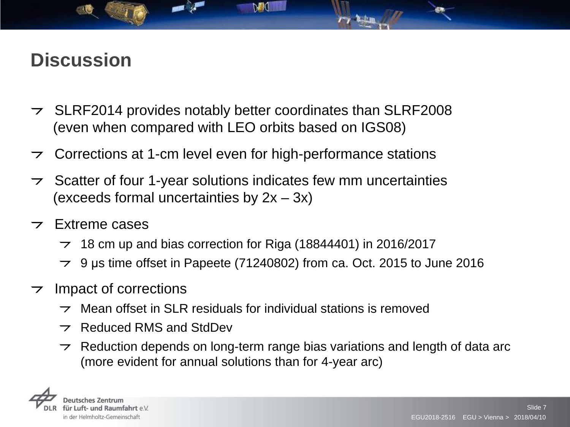## **Discussion**

- $\rightarrow$  SLRF2014 provides notably better coordinates than SLRF2008 (even when compared with LEO orbits based on IGS08)
- Corrections at 1-cm level even for high-performance stations
- $\triangleright$  Scatter of four 1-year solutions indicates few mm uncertainties (exceeds formal uncertainties by 2x – 3x)
- $\overline{z}$  Extreme cases
	- $\rightarrow$  18 cm up and bias correction for Riga (18844401) in 2016/2017
	- $\rightarrow$  9 µs time offset in Papeete (71240802) from ca. Oct. 2015 to June 2016
- $\rightarrow$  Impact of corrections
	- Mean offset in SLR residuals for individual stations is removed  $\overline{\phantom{0}}$
	- $\rightarrow$  Reduced RMS and StdDev
	- Reduction depends on long-term range bias variations and length of data arc  $\overline{\phantom{0}}$ (more evident for annual solutions than for 4-year arc)

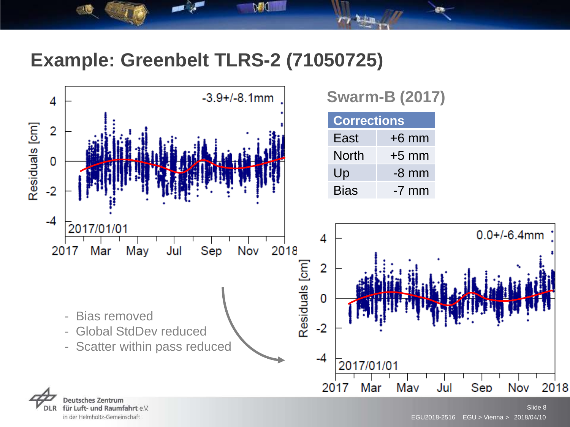#### **Example: Greenbelt TLRS-2 (71050725)**

h∎ (



für Luft- und Raumfahrt e.V. in der Helmholtz-Gemeinschaft

#### Slide 8 EGU2018-2516 EGU > Vienna > 2018/04/10